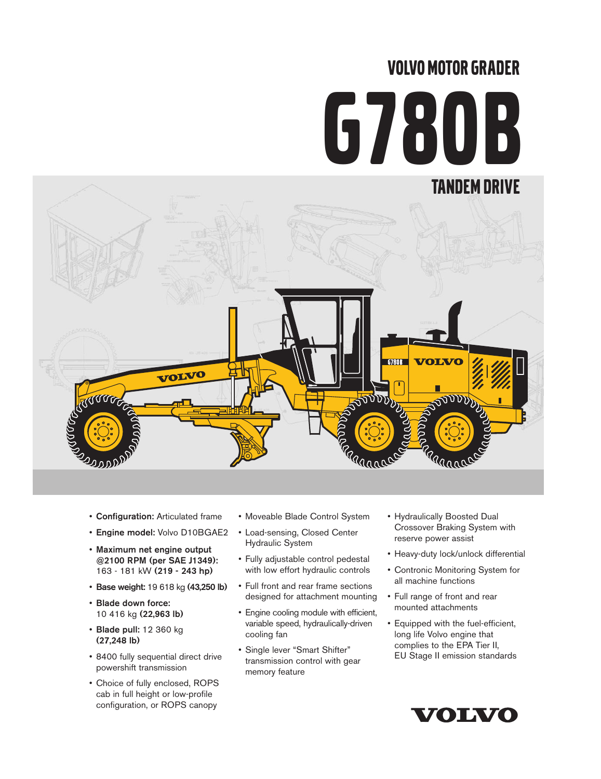# VOLVO MOTOR GRADER G780B



- Configuration: Articulated frame
- Engine model: Volvo D10BGAE2
- Maximum net engine output @2100 RPM (per SAE J1349): 163 - 181 kW (219 - 243 hp)
- Base weight: 19 618 kg (43,250 lb)
- Blade down force: 10 416 kg (22,963 lb)
- Blade pull: 12 360 kg (27,248 lb)
- 8400 fully sequential direct drive powershift transmission
- Choice of fully enclosed, ROPS cab in full height or low-profile configuration, or ROPS canopy
- Moveable Blade Control System
- Load-sensing, Closed Center Hydraulic System
- Fully adjustable control pedestal with low effort hydraulic controls
- Full front and rear frame sections designed for attachment mounting
- Engine cooling module with efficient, variable speed, hydraulically-driven cooling fan
- Single lever "Smart Shifter" transmission control with gear memory feature
- Hydraulically Boosted Dual Crossover Braking System with reserve power assist
- Heavy-duty lock/unlock differential
- Contronic Monitoring System for all machine functions
- Full range of front and rear mounted attachments
- Equipped with the fuel-efficient, long life Volvo engine that complies to the EPA Tier II, EU Stage II emission standards

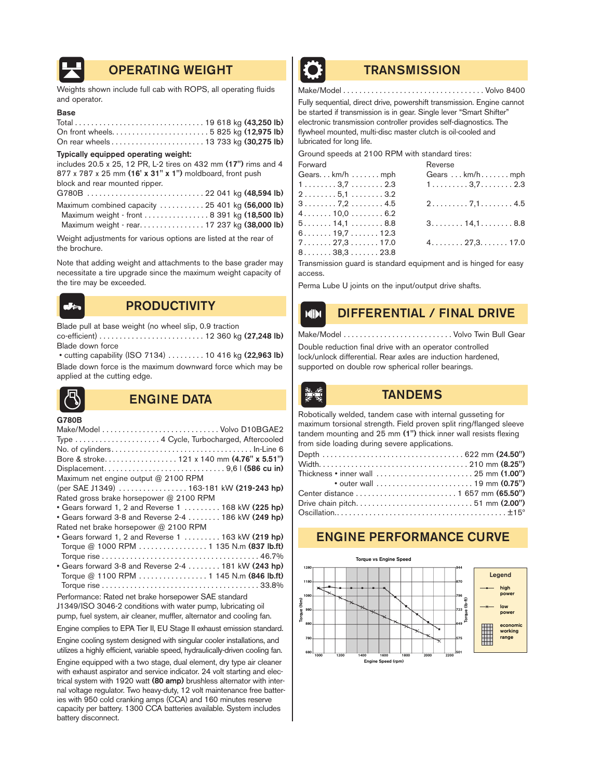

# OPERATING WEIGHT **TRANSMISSION**

Weights shown include full cab with ROPS, all operating fluids and operator.

### Base

| On rear wheels 13 733 kg (30,275 lb) |  |  |  |
|--------------------------------------|--|--|--|

#### Typically equipped operating weight:

includes 20.5 x 25, 12 PR, L-2 tires on 432 mm (17") rims and 4 877 x 787 x 25 mm (16' x 31" x 1") moldboard, front push block and rear mounted ripper.

| Maximum combined capacity  25 401 kg (56,000 lb) |  |  |
|--------------------------------------------------|--|--|
| Maximum weight - front 8 391 kg (18,500 lb)      |  |  |
| Maximum weight - rear. 17 237 kg (38,000 lb)     |  |  |

Weight adjustments for various options are listed at the rear of the brochure.

Note that adding weight and attachments to the base grader may necessitate a tire upgrade since the maximum weight capacity of the tire may be exceeded.

# PRODUCTIVITY **DIFFERENTIAL / FINAL DRIVE**

Blade pull at base weight (no wheel slip, 0.9 traction co-efficient) . . . . . . . . . . . . . . . . . . . . . . . . . . 12 360 kg (27,248 lb) Blade down force

• cutting capability (ISO 7134) . . . . . . . . . 10 416 kg (22,963 lb) Blade down force is the maximum downward force which may be applied at the cutting edge.



# **ENGINE DATA ENGINE DATA**

G780B

Engine complies to EPA Tier II, EU Stage II exhaust emission standard.

Engine cooling system designed with singular cooler installations, and utilizes a highly efficient, variable speed, hydraulically-driven cooling fan.

Engine equipped with a two stage, dual element, dry type air cleaner with exhaust aspirator and service indicator. 24 volt starting and electrical system with 1920 watt (80 amp) brushless alternator with internal voltage regulator. Two heavy-duty, 12 volt maintenance free batteries with 950 cold cranking amps (CCA) and 160 minutes reserve capacity per battery. 1300 CCA batteries available. System includes battery disconnect.



Make/Model . . . . . . . . . . . . . . . . . . . . . . . . . . . . . . . . . . . Volvo 8400

Fully sequential, direct drive, powershift transmission. Engine cannot be started if transmission is in gear. Single lever "Smart Shifter" electronic transmission controller provides self-diagnostics. The flywheel mounted, multi-disc master clutch is oil-cooled and lubricated for long life.

Ground speeds at 2100 RPM with standard tires:

| Forward                                         | Reverse                                         |
|-------------------------------------------------|-------------------------------------------------|
| Gears $km/h$ mph                                | Gears  km/h mph                                 |
| $1 \ldots \ldots \ldots 3, 7 \ldots \ldots 2.3$ | $1 \ldots \ldots \ldots 3, 7 \ldots \ldots 2.3$ |
| 25,11                                           |                                                 |
| $3 \ldots .7,2 \ldots .4.5$                     | $2 \ldots \ldots \ldots 7, 1 \ldots \ldots 4.5$ |
| $4 \ldots \ldots 10.0 \ldots \ldots 6.2$        |                                                 |
| $5 \ldots 14,1 \ldots 8.8$                      | $3 \ldots 14.1 \ldots 8.8$                      |
| $6 \ldots 19.7 \ldots 12.3$                     |                                                 |
| $7 \ldots 27.3 \ldots 17.0$                     | $4.\dots \dots 27.3.\dots \dots 17.0$           |
| $8 \ldots 38,3 \ldots 23.8$                     |                                                 |
|                                                 |                                                 |

Transmission guard is standard equipment and is hinged for easy access.

Perma Lube U joints on the input/output drive shafts.

Make/Model . . . . . . . . . . . . . . . . . . . . . . . . . . . Volvo Twin Bull Gear

Double reduction final drive with an operator controlled lock/unlock differential. Rear axles are induction hardened, supported on double row spherical roller bearings.



Robotically welded, tandem case with internal gusseting for maximum torsional strength. Field proven split ring/flanged sleeve tandem mounting and 25 mm (1") thick inner wall resists flexing from side loading during severe applications.

| Thickness • inner wall $\ldots \ldots \ldots \ldots \ldots \ldots \ldots \ldots$ 25 mm (1.00") |  |
|------------------------------------------------------------------------------------------------|--|
| • outer wall $\ldots \ldots \ldots \ldots \ldots \ldots \ldots$ 19 mm $(0.75")$                |  |
|                                                                                                |  |
| Drive chain pitch 51 mm (2.00")                                                                |  |
|                                                                                                |  |

# ENGINE PERFORMANCE CURVE

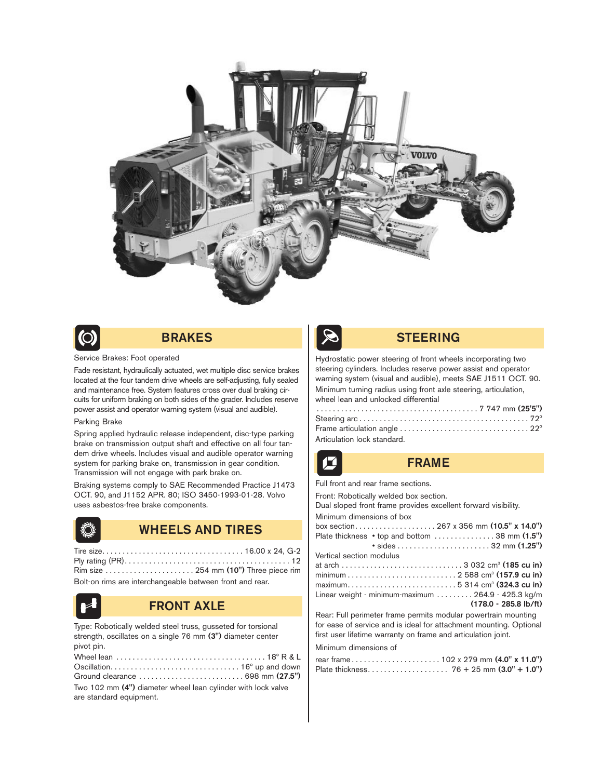



# BRAKES

#### Service Brakes: Foot operated

Fade resistant, hydraulically actuated, wet multiple disc service brakes located at the four tandem drive wheels are self-adjusting, fully sealed and maintenance free. System features cross over dual braking circuits for uniform braking on both sides of the grader. Includes reserve power assist and operator warning system (visual and audible).

#### Parking Brake

Spring applied hydraulic release independent, disc-type parking brake on transmission output shaft and effective on all four tandem drive wheels. Includes visual and audible operator warning system for parking brake on, transmission in gear condition. Transmission will not engage with park brake on.

Braking systems comply to SAE Recommended Practice J1473 OCT. 90, and J1152 APR. 80; ISO 3450-1993-01-28. Volvo uses asbestos-free brake components.



## WHEELS AND TIRES

Tire size. . . . . . . . . . . . . . . . . . . . . . . . . . . . . . . . . . . 16.00 x 24, G-2 Ply rating (PR). . . . . . . . . . . . . . . . . . . . . . . . . . . . . . . . . . . . . . . . . 12 Rim size . . . . . . . . . . . . . . . . . . . . . . 254 mm (10") Three piece rim Bolt-on rims are interchangeable between front and rear.

# FRONT AXLE

Type: Robotically welded steel truss, gusseted for torsional strength, oscillates on a single 76 mm (3") diameter center pivot pin.

| Two 102 mm (4") diameter wheel lean cylinder with lock valve |
|--------------------------------------------------------------|
| are standard equipment.                                      |



## STEERING

Hydrostatic power steering of front wheels incorporating two steering cylinders. Includes reserve power assist and operator warning system (visual and audible), meets SAE J1511 OCT. 90. Minimum turning radius using front axle steering, articulation, wheel lean and unlocked differential

| Articulation lock standard. |  |  |
|-----------------------------|--|--|

## FRAME

Full front and rear frame sections.

Front: Robotically welded box section.

Dual sloped front frame provides excellent forward visibility. Minimum dimensions of box

|                          | Plate thickness $\cdot$ top and bottom $\ldots \ldots \ldots \ldots 38$ mm $(1.5")$ |
|--------------------------|-------------------------------------------------------------------------------------|
|                          |                                                                                     |
| Vertical section modulus |                                                                                     |
|                          |                                                                                     |
|                          |                                                                                     |
|                          | $maximum$ 5 314 cm <sup>3</sup> (324.3 cu in)                                       |
|                          | Linear weight - minimum-maximum  264.9 - 425.3 kg/m                                 |
|                          | $(178.0 - 285.8 \text{ lb/ft})$                                                     |
|                          |                                                                                     |

Rear: Full perimeter frame permits modular powertrain mounting for ease of service and is ideal for attachment mounting. Optional first user lifetime warranty on frame and articulation joint.

Minimum dimensions of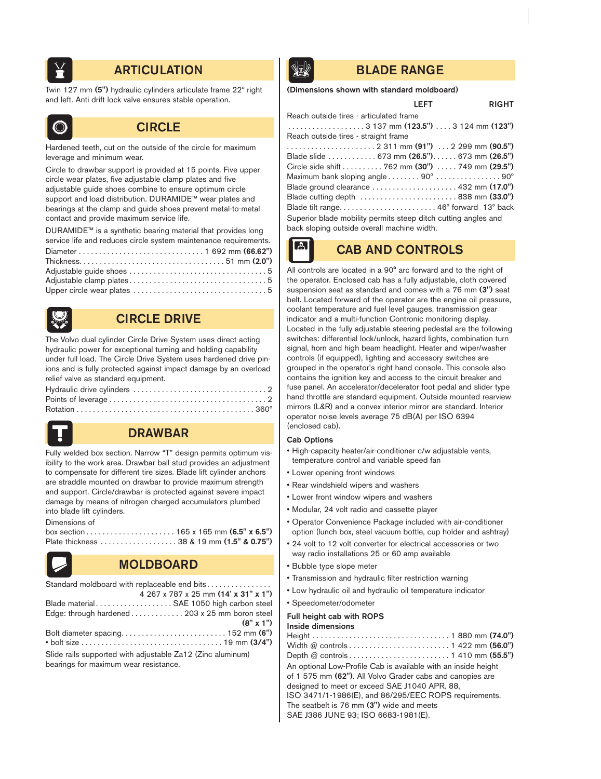

# **ARTICULATION BLADE RANGE**

Twin 127 mm (5") hydraulic cylinders articulate frame 22º right and left. Anti drift lock valve ensures stable operation.



# **CIRCLE**

Hardened teeth, cut on the outside of the circle for maximum leverage and minimum wear.

Circle to drawbar support is provided at 15 points. Five upper circle wear plates, five adjustable clamp plates and five adjustable guide shoes combine to ensure optimum circle support and load distribution. DURAMIDE™ wear plates and bearings at the clamp and guide shoes prevent metal-to-metal contact and provide maximum service life.

DURAMIDE™ is a synthetic bearing material that provides long service life and reduces circle system maintenance requirements. Diameter . . . . . . . . . . . . . . . . . . . . . . . . . . . . . . . 1 692 mm (66.62") Thickness. . . . . . . . . . . . . . . . . . . . . . . . . . . . . . . . . . . . 51 mm (2.0") Adjustable guide shoes . . . . . . . . . . . . . . . . . . . . . . . . . . . . . . . . . . 5 Adjustable clamp plates . . . . . . . . . . . . . . . . . . . . . . . . . . . . . . . . . . 5 Upper circle wear plates . . . . . . . . . . . . . . . . . . . . . . . . . . . . . . . . . 5



# CIRCLE DRIVE

The Volvo dual cylinder Circle Drive System uses direct acting hydraulic power for exceptional turning and holding capability under full load. The Circle Drive System uses hardened drive pinions and is fully protected against impact damage by an overload relief valve as standard equipment.



# DRAWBAR

Fully welded box section. Narrow "T" design permits optimum visibility to the work area. Drawbar ball stud provides an adjustment to compensate for different tire sizes. Blade lift cylinder anchors are straddle mounted on drawbar to provide maximum strength and support. Circle/drawbar is protected against severe impact damage by means of nitrogen charged accumulators plumbed into blade lift cylinders.

Dimensions of



# MOLDBOARD

| Standard moldboard with replaceable end bits               |
|------------------------------------------------------------|
| 4 267 x 787 x 25 mm (14' x 31" x 1")                       |
| Blade material SAE 1050 high carbon steel                  |
| Edge: through hardened 203 x 25 mm boron steel             |
| $(8" \times 1")$                                           |
|                                                            |
|                                                            |
| Slide rails supported with adjustable Za12 (Zinc aluminum) |
| bearings for maximum wear resistance.                      |

## (Dimensions shown with standard moldboard)

## LEFT RIGHT

| Reach outside tires - articulated frame                                                                |
|--------------------------------------------------------------------------------------------------------|
|                                                                                                        |
| Reach outside tires - straight frame                                                                   |
|                                                                                                        |
| Blade slide  673 mm (26.5") 673 mm (26.5")                                                             |
| Circle side shift 762 mm (30") 749 mm (29.5")                                                          |
| Maximum bank sloping angle $\ldots \ldots \ldots 90^\circ \ldots \ldots \ldots \ldots \ldots 90^\circ$ |
| Blade ground clearance $\ldots \ldots \ldots \ldots \ldots \ldots$ 432 mm (17.0")                      |
| Blade cutting depth  838 mm (33.0")                                                                    |
|                                                                                                        |
| Superior blade mobility permits steep ditch cutting angles and                                         |
| back sloping outside overall machine width.                                                            |

CAB AND CONTROLS

#### All controls are located in a 90° arc forward and to the right of the operator. Enclosed cab has a fully adjustable, cloth covered suspension seat as standard and comes with a 76 mm (3") seat belt. Located forward of the operator are the engine oil pressure, coolant temperature and fuel level gauges, transmission gear indicator and a multi-function Contronic monitoring display. Located in the fully adjustable steering pedestal are the following switches: differential lock/unlock, hazard lights, combination turn signal, horn and high beam headlight. Heater and wiper/washer controls (if equipped), lighting and accessory switches are grouped in the operator's right hand console. This console also contains the ignition key and access to the circuit breaker and fuse panel. An accelerator/decelerator foot pedal and slider type hand throttle are standard equipment. Outside mounted rearview mirrors (L&R) and a convex interior mirror are standard. Interior operator noise levels average 75 dB(A) per ISO 6394 (enclosed cab).

### Cab Options

 $\vert \mathbb{A} \vert$ 

- High-capacity heater/air-conditioner c/w adjustable vents, temperature control and variable speed fan
- Lower opening front windows
- Rear windshield wipers and washers
- Lower front window wipers and washers
- Modular, 24 volt radio and cassette player
- Operator Convenience Package included with air-conditioner option (lunch box, steel vacuum bottle, cup holder and ashtray)
- 24 volt to 12 volt converter for electrical accessories or two way radio installations 25 or 60 amp available
- Bubble type slope meter
- Transmission and hydraulic filter restriction warning
- Low hydraulic oil and hydraulic oil temperature indicator
- Speedometer/odometer

### Full height cab with ROPS

#### Inside dimensions

| An optional Low-Profile Cab is available with an inside height |
|----------------------------------------------------------------|
| of 1 575 mm (62"). All Volvo Grader cabs and canopies are      |
| designed to meet or exceed SAE J1040 APR. 88,                  |
| ISO 3471/1-1986(E), and 86/295/EEC ROPS requirements.          |
| The seatbelt is 76 mm (3") wide and meets                      |
| SAE J386 JUNE 93; ISO 6683-1981(E).                            |
|                                                                |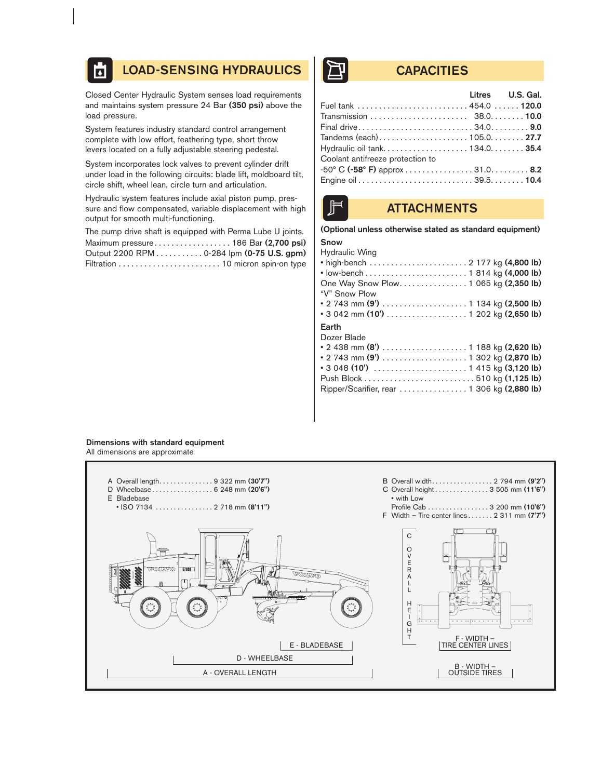#### LOAD-SENSING HYDRAULICS | THE CAPACITIES **A**

Closed Center Hydraulic System senses load requirements and maintains system pressure 24 Bar (350 psi) above the load pressure.

System features industry standard control arrangement complete with low effort, feathering type, short throw levers located on a fully adjustable steering pedestal.

System incorporates lock valves to prevent cylinder drift under load in the following circuits: blade lift, moldboard tilt, circle shift, wheel lean, circle turn and articulation.

Hydraulic system features include axial piston pump, pressure and flow compensated, variable displacement with high output for smooth multi-functioning.

The pump drive shaft is equipped with Perma Lube U joints. Maximum pressure. . . . . . . . . . . . . . . . . . 186 Bar (2,700 psi) Output 2200 RPM . . . . . . . . . . . 0-284 lpm (0-75 U.S. gpm) Filtration . . . . . . . . . . . . . . . . . . . . . . . . 10 micron spin-on type

|                                  | Litres U.S. Gal. |
|----------------------------------|------------------|
|                                  |                  |
|                                  |                  |
|                                  |                  |
|                                  |                  |
|                                  |                  |
| Coolant antifreeze protection to |                  |
|                                  |                  |
|                                  |                  |



# **ATTACHMENTS**

### (Optional unless otherwise stated as standard equipment)

## Snow

| Hydraulic Wing                             |
|--------------------------------------------|
|                                            |
|                                            |
| One Way Snow Plow. 1 065 kg (2,350 lb)     |
| "V" Snow Plow                              |
|                                            |
| • 3 042 mm (10') 1 202 kg (2,650 lb)       |
|                                            |
| Earth                                      |
| Dozer Blade                                |
|                                            |
| • 2 438 mm (8')  1 188 kg (2,620 lb)       |
|                                            |
|                                            |
| Ripper/Scarifier, rear 1 306 kg (2,880 lb) |

# Dimensions with standard equipment

All dimensions are approximate